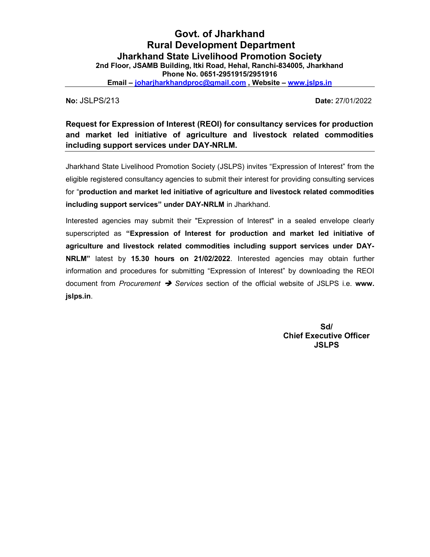No: JSLPS/213 Date: 27/01/2022

Request for Expression of Interest (REOI) for consultancy services for production and market led initiative of agriculture and livestock related commodities including support services under DAY-NRLM.

Jharkhand State Livelihood Promotion Society (JSLPS) invites "Expression of Interest" from the eligible registered consultancy agencies to submit their interest for providing consulting services for "production and market led initiative of agriculture and livestock related commodities including support services" under DAY-NRLM in Jharkhand.

Interested agencies may submit their "Expression of Interest" in a sealed envelope clearly superscripted as "Expression of Interest for production and market led initiative of agriculture and livestock related commodities including support services under DAY-NRLM" latest by 15.30 hours on 21/02/2022. Interested agencies may obtain further information and procedures for submitting "Expression of Interest" by downloading the REOI document from Procurement  $\rightarrow$  Services section of the official website of JSLPS i.e. www. jslps.in.

> Sd/ Chief Executive Officer **JSLPS**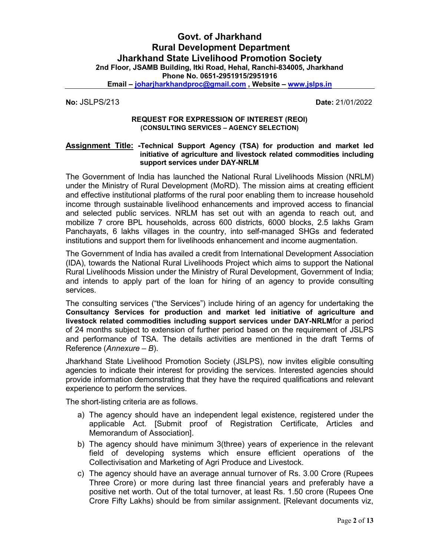No: JSLPS/213 Date: 21/01/2022

### REQUEST FOR EXPRESSION OF INTEREST (REOI) (CONSULTING SERVICES – AGENCY SELECTION)

#### Assignment Title: -Technical Support Agency (TSA) for production and market led initiative of agriculture and livestock related commodities including support services under DAY-NRLM

The Government of India has launched the National Rural Livelihoods Mission (NRLM) under the Ministry of Rural Development (MoRD). The mission aims at creating efficient and effective institutional platforms of the rural poor enabling them to increase household income through sustainable livelihood enhancements and improved access to financial and selected public services. NRLM has set out with an agenda to reach out, and mobilize 7 crore BPL households, across 600 districts, 6000 blocks, 2.5 lakhs Gram Panchayats, 6 lakhs villages in the country, into self-managed SHGs and federated institutions and support them for livelihoods enhancement and income augmentation.

The Government of India has availed a credit from International Development Association (IDA), towards the National Rural Livelihoods Project which aims to support the National Rural Livelihoods Mission under the Ministry of Rural Development, Government of India; and intends to apply part of the loan for hiring of an agency to provide consulting services.

The consulting services ("the Services") include hiring of an agency for undertaking the Consultancy Services for production and market led initiative of agriculture and livestock related commodities including support services under DAY-NRLMfor a period of 24 months subject to extension of further period based on the requirement of JSLPS and performance of TSA. The details activities are mentioned in the draft Terms of Reference (Annexure – B).

Jharkhand State Livelihood Promotion Society (JSLPS), now invites eligible consulting agencies to indicate their interest for providing the services. Interested agencies should provide information demonstrating that they have the required qualifications and relevant experience to perform the services.

The short-listing criteria are as follows.

- a) The agency should have an independent legal existence, registered under the applicable Act. [Submit proof of Registration Certificate, Articles and Memorandum of Association].
- b) The agency should have minimum 3(three) years of experience in the relevant field of developing systems which ensure efficient operations of the Collectivisation and Marketing of Agri Produce and Livestock.
- c) The agency should have an average annual turnover of Rs. 3.00 Crore (Rupees Three Crore) or more during last three financial years and preferably have a positive net worth. Out of the total turnover, at least Rs. 1.50 crore (Rupees One Crore Fifty Lakhs) should be from similar assignment. [Relevant documents viz,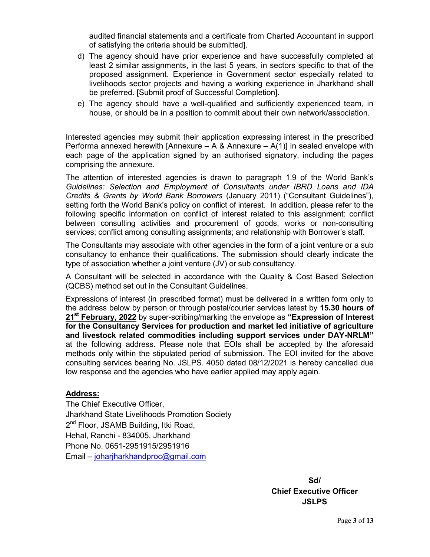audited financial statements and a certificate from Charted Accountant in support of satisfying the criteria should be submitted].

- d) The agency should have prior experience and have successfully completed at least 2 similar assignments, in the last 5 years, in sectors specific to that of the proposed assignment. Experience in Government sector especially related to livelihoods sector projects and having a working experience in Jharkhand shall be preferred. [Submit proof of Successful Completion].
- e) The agency should have a well-qualified and sufficiently experienced team, in house, or should be in a position to commit about their own network/association.

Interested agencies may submit their application expressing interest in the prescribed Performa annexed herewith [Annexure  $- A 8$  Annexure  $- A(1)$ ] in sealed envelope with each page of the application signed by an authorised signatory, including the pages comprising the annexure.

The attention of interested agencies is drawn to paragraph 1.9 of the World Bank's Guidelines: Selection and Employment of Consultants under IBRD Loans and IDA Credits & Grants by World Bank Borrowers (January 2011) ("Consultant Guidelines"), setting forth the World Bank's policy on conflict of interest. In addition, please refer to the following specific information on conflict of interest related to this assignment: conflict between consulting activities and procurement of goods, works or non-consulting services; conflict among consulting assignments; and relationship with Borrower's staff.

The Consultants may associate with other agencies in the form of a joint venture or a sub consultancy to enhance their qualifications. The submission should clearly indicate the type of association whether a joint venture (JV) or sub consultancy.

A Consultant will be selected in accordance with the Quality & Cost Based Selection (QCBS) method set out in the Consultant Guidelines.

Expressions of interest (in prescribed format) must be delivered in a written form only to the address below by person or through postal/courier services latest by 15.30 hours of 21<sup>st</sup> February, 2022 by super-scribing/marking the envelope as "Expression of Interest for the Consultancy Services for production and market led initiative of agriculture and livestock related commodities including support services under DAY-NRLM" at the following address. Please note that EOIs shall be accepted by the aforesaid methods only within the stipulated period of submission. The EOI invited for the above consulting services bearing No. JSLPS. 4050 dated 08/12/2021 is hereby cancelled due low response and the agencies who have earlier applied may apply again.

## Address:

The Chief Executive Officer, Jharkhand State Livelihoods Promotion Society 2<sup>nd</sup> Floor, JSAMB Building, Itki Road, Hehal, Ranchi - 834005, Jharkhand Phone No. 0651-2951915/2951916 Email – joharjharkhandproc@gmail.com

> Sd/ Chief Executive Officer **JSLPS**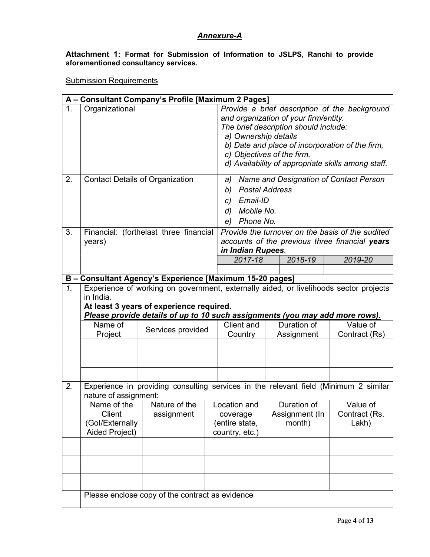# Annexure-A

Attachment 1: Format for Submission of Information to JSLPS, Ranchi to provide aforementioned consultancy services.

**Submission Requirements** 

|                 |                                                            | A - Consultant Company's Profile [Maximum 2 Pages]                                                                                                                                                                |                                                              |                                                                                                                                                                                                                                                                                                                                          |                                                                                                    |  |
|-----------------|------------------------------------------------------------|-------------------------------------------------------------------------------------------------------------------------------------------------------------------------------------------------------------------|--------------------------------------------------------------|------------------------------------------------------------------------------------------------------------------------------------------------------------------------------------------------------------------------------------------------------------------------------------------------------------------------------------------|----------------------------------------------------------------------------------------------------|--|
| 1.<br>2.        | Organizational<br><b>Contact Details of Organization</b>   |                                                                                                                                                                                                                   | a)<br><b>Postal Address</b><br>b)                            | Provide a brief description of the background<br>and organization of your firm/entity.<br>The brief description should include:<br>a) Ownership details<br>b) Date and place of incorporation of the firm,<br>c) Objectives of the firm,<br>d) Availability of appropriate skills among staff.<br>Name and Designation of Contact Person |                                                                                                    |  |
|                 |                                                            |                                                                                                                                                                                                                   | Email-ID<br>C)<br>Mobile No.<br>d)<br>Phone No.<br>e)        |                                                                                                                                                                                                                                                                                                                                          |                                                                                                    |  |
| 3.              | years)                                                     | Financial: (forthelast three financial                                                                                                                                                                            | in Indian Rupees.                                            |                                                                                                                                                                                                                                                                                                                                          | Provide the turnover on the basis of the audited<br>accounts of the previous three financial years |  |
|                 |                                                            |                                                                                                                                                                                                                   | 2017-18                                                      | 2018-19                                                                                                                                                                                                                                                                                                                                  | 2019-20                                                                                            |  |
|                 |                                                            | B - Consultant Agency's Experience [Maximum 15-20 pages]                                                                                                                                                          |                                                              |                                                                                                                                                                                                                                                                                                                                          |                                                                                                    |  |
| $\mathcal{I}$ . | in India.<br>Name of                                       | Experience of working on government, externally aided, or livelihoods sector projects<br>At least 3 years of experience required.<br>Please provide details of up to 10 such assignments (you may add more rows). | Client and                                                   | Duration of                                                                                                                                                                                                                                                                                                                              | Value of                                                                                           |  |
|                 | Project                                                    | Services provided                                                                                                                                                                                                 | Country                                                      | Assignment                                                                                                                                                                                                                                                                                                                               | Contract (Rs)                                                                                      |  |
| 2.              | nature of assignment:                                      | Experience in providing consulting services in the relevant field (Minimum 2 similar                                                                                                                              |                                                              |                                                                                                                                                                                                                                                                                                                                          |                                                                                                    |  |
|                 | Name of the<br>Client<br>(Gol/Externally<br>Aided Project) | Nature of the<br>assignment                                                                                                                                                                                       | Location and<br>coverage<br>(entire state,<br>country, etc.) | Duration of<br>Assignment (In<br>month)                                                                                                                                                                                                                                                                                                  | Value of<br>Contract (Rs.<br>Lakh)                                                                 |  |
|                 |                                                            |                                                                                                                                                                                                                   |                                                              |                                                                                                                                                                                                                                                                                                                                          |                                                                                                    |  |
|                 |                                                            |                                                                                                                                                                                                                   |                                                              |                                                                                                                                                                                                                                                                                                                                          |                                                                                                    |  |
|                 |                                                            |                                                                                                                                                                                                                   |                                                              |                                                                                                                                                                                                                                                                                                                                          |                                                                                                    |  |
|                 | Please enclose copy of the contract as evidence            |                                                                                                                                                                                                                   |                                                              |                                                                                                                                                                                                                                                                                                                                          |                                                                                                    |  |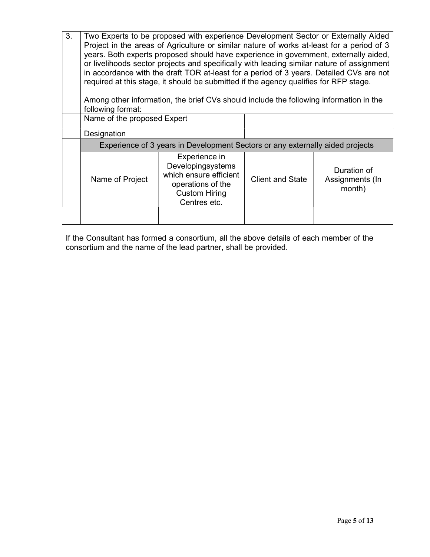| 3. | Two Experts to be proposed with experience Development Sector or Externally Aided<br>Project in the areas of Agriculture or similar nature of works at-least for a period of 3<br>years. Both experts proposed should have experience in government, externally aided,<br>or livelihoods sector projects and specifically with leading similar nature of assignment<br>in accordance with the draft TOR at-least for a period of 3 years. Detailed CVs are not<br>required at this stage, it should be submitted if the agency qualifies for RFP stage.<br>Among other information, the brief CVs should include the following information in the<br>following format: |                                                                                                                           |                         |                                          |
|----|------------------------------------------------------------------------------------------------------------------------------------------------------------------------------------------------------------------------------------------------------------------------------------------------------------------------------------------------------------------------------------------------------------------------------------------------------------------------------------------------------------------------------------------------------------------------------------------------------------------------------------------------------------------------|---------------------------------------------------------------------------------------------------------------------------|-------------------------|------------------------------------------|
|    | Name of the proposed Expert                                                                                                                                                                                                                                                                                                                                                                                                                                                                                                                                                                                                                                            |                                                                                                                           |                         |                                          |
|    | Designation                                                                                                                                                                                                                                                                                                                                                                                                                                                                                                                                                                                                                                                            |                                                                                                                           |                         |                                          |
|    |                                                                                                                                                                                                                                                                                                                                                                                                                                                                                                                                                                                                                                                                        | Experience of 3 years in Development Sectors or any externally aided projects                                             |                         |                                          |
|    | Name of Project                                                                                                                                                                                                                                                                                                                                                                                                                                                                                                                                                                                                                                                        | Experience in<br>Developingsystems<br>which ensure efficient<br>operations of the<br><b>Custom Hiring</b><br>Centres etc. | <b>Client and State</b> | Duration of<br>Assignments (In<br>month) |
|    |                                                                                                                                                                                                                                                                                                                                                                                                                                                                                                                                                                                                                                                                        |                                                                                                                           |                         |                                          |

If the Consultant has formed a consortium, all the above details of each member of the consortium and the name of the lead partner, shall be provided.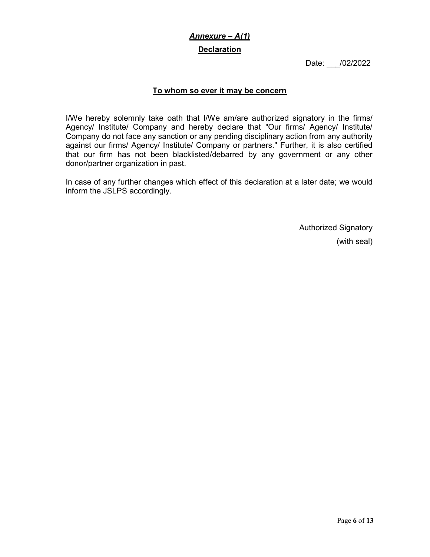# Annexure – A(1)

## Declaration

Date: /02/2022

# To whom so ever it may be concern

I/We hereby solemnly take oath that I/We am/are authorized signatory in the firms/ Agency/ Institute/ Company and hereby declare that "Our firms/ Agency/ Institute/ Company do not face any sanction or any pending disciplinary action from any authority against our firms/ Agency/ Institute/ Company or partners." Further, it is also certified that our firm has not been blacklisted/debarred by any government or any other donor/partner organization in past.

In case of any further changes which effect of this declaration at a later date; we would inform the JSLPS accordingly.

> Authorized Signatory (with seal)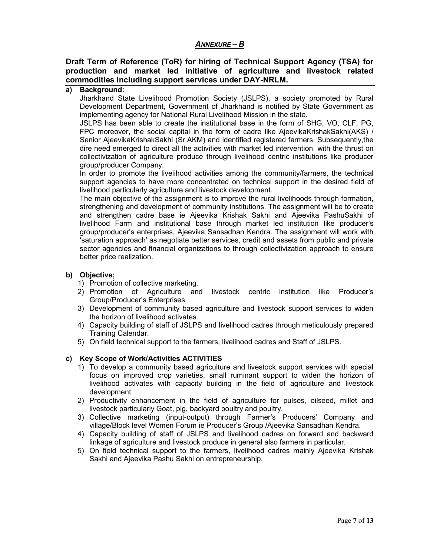## ANNEXURE – B

## Draft Term of Reference (ToR) for hiring of Technical Support Agency (TSA) for production and market led initiative of agriculture and livestock related commodities including support services under DAY-NRLM.

# a) Background:

Jharkhand State Livelihood Promotion Society (JSLPS), a society promoted by Rural Development Department, Government of Jharkhand is notified by State Government as implementing agency for National Rural Livelihood Mission in the state.

JSLPS has been able to create the institutional base in the form of SHG, VO, CLF, PG, FPC moreover, the social capital in the form of cadre like AjeevikaKrishakSakhi(AKS) / Senior AjeevikaKrishakSakhi (Sr.AKM) and identified registered farmers. Subsequently,the dire need emerged to direct all the activities with market led intervention with the thrust on collectivization of agriculture produce through livelihood centric institutions like producer group/producer Company.

In order to promote the livelihood activities among the community/farmers, the technical support agencies to have more concentrated on technical support in the desired field of livelihood particularly agriculture and livestock development.

The main objective of the assignment is to improve the rural livelihoods through formation, strengthening and development of community institutions. The assignment will be to create and strengthen cadre base ie Ajeevika Krishak Sakhi and Ajeevika PashuSakhi of livelihood Farm and institutional base through market led institution like producer's group/producer's enterprises, Ajeevika Sansadhan Kendra. The assignment will work with 'saturation approach' as negotiate better services, credit and assets from public and private sector agencies and financial organizations to through collectivization approach to ensure better price realization.

### b) Objective;

- 1) Promotion of collective marketing.
- 2) Promotion of Agriculture and livestock centric institution like Producer's Group/Producer's Enterprises
- 3) Development of community based agriculture and livestock support services to widen the horizon of livelihood activates.
- 4) Capacity building of staff of JSLPS and livelihood cadres through meticulously prepared Training Calendar.
- 5) On field technical support to the farmers, livelihood cadres and Staff of JSLPS.

### c) Key Scope of Work/Activities ACTIVITIES

- 1) To develop a community based agriculture and livestock support services with special focus on improved crop varieties, small ruminant support to widen the horizon of livelihood activates with capacity building in the field of agriculture and livestock development.
- 2) Productivity enhancement in the field of agriculture for pulses, oilseed, millet and livestock particularly Goat, pig, backyard poultry and poultry.
- 3) Collective marketing (input-output) through Farmer's Producers' Company and village/Block level Women Forum ie Producer's Group /Ajeevika Sansadhan Kendra.
- 4) Capacity building of staff of JSLPS and livelihood cadres on forward and backward linkage of agriculture and livestock produce in general also farmers in particular.
- 5) On field technical support to the farmers, livelihood cadres mainly Ajeevika Krishak Sakhi and Ajeevika Pashu Sakhi on entrepreneurship.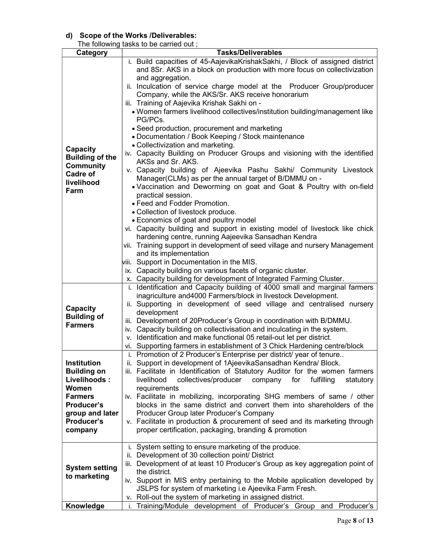## d) Scope of the Works /Deliverables:

| The following tasks to be carried out; |                                                                                 |  |  |
|----------------------------------------|---------------------------------------------------------------------------------|--|--|
| Category                               | <b>Tasks/Deliverables</b>                                                       |  |  |
|                                        | i. Build capacities of 45-AajevikaKrishakSakhi, / Block of assigned district    |  |  |
|                                        | and 8Sr. AKS in a block on production with more focus on collectivization       |  |  |
|                                        | and aggregation.                                                                |  |  |
|                                        | ii. Inculcation of service charge model at the Producer Group/producer          |  |  |
|                                        | Company, while the AKS/Sr. AKS receive honorarium                               |  |  |
|                                        | iii. Training of Aajevika Krishak Sakhi on -                                    |  |  |
|                                        | . Women farmers livelihood collectives/institution building/management like     |  |  |
|                                        |                                                                                 |  |  |
|                                        | PG/PCs.                                                                         |  |  |
|                                        | • Seed production, procurement and marketing                                    |  |  |
|                                        | • Documentation / Book Keeping / Stock maintenance                              |  |  |
| Capacity                               | • Collectivization and marketing.                                               |  |  |
| <b>Building of the</b>                 | iv. Capacity Building on Producer Groups and visioning with the identified      |  |  |
| <b>Community</b>                       | AKSs and Sr. AKS.                                                               |  |  |
| Cadre of                               | v. Capacity building of Ajeevika Pashu Sakhi/ Community Livestock               |  |  |
|                                        | Manager(CLMs) as per the annual target of B/DMMU on -                           |  |  |
| livelihood                             | . Vaccination and Deworming on goat and Goat & Poultry with on-field            |  |  |
| Farm                                   | practical session.                                                              |  |  |
|                                        | • Feed and Fodder Promotion.                                                    |  |  |
|                                        | • Collection of livestock produce.                                              |  |  |
|                                        | • Economics of goat and poultry model                                           |  |  |
|                                        | vi. Capacity building and support in existing model of livestock like chick     |  |  |
|                                        | hardening centre, running Aajeevika Sansadhan Kendra                            |  |  |
|                                        |                                                                                 |  |  |
|                                        | vii. Training support in development of seed village and nursery Management     |  |  |
|                                        | and its implementation                                                          |  |  |
|                                        | viii. Support in Documentation in the MIS.                                      |  |  |
|                                        | ix. Capacity building on various facets of organic cluster.                     |  |  |
|                                        | x. Capacity building for development of Integrated Farming Cluster.             |  |  |
|                                        | i. Identification and Capacity building of 4000 small and marginal farmers      |  |  |
|                                        | inagriculture and 4000 Farmers/block in livestock Development.                  |  |  |
|                                        | ii. Supporting in development of seed village and centralised nursery           |  |  |
| Capacity                               | development                                                                     |  |  |
| <b>Building of</b><br><b>Farmers</b>   | iii. Development of 20Producer's Group in coordination with B/DMMU.             |  |  |
|                                        | iv. Capacity building on collectivisation and inculcating in the system.        |  |  |
|                                        | v. Identification and make functional 05 retail-out let per district.           |  |  |
|                                        | vi. Supporting farmers in establishment of 3 Chick Hardening centre/block       |  |  |
|                                        | Promotion of 2 Producer's Enterprise per district/ year of tenure.<br>i.        |  |  |
| Institution                            | ii. Support in development of 1AjeevikaSansadhan Kendra/ Block.                 |  |  |
| <b>Building on</b>                     | iii. Facilitate in Identification of Statutory Auditor for the women farmers    |  |  |
| Livelihoods:                           | collectives/producer<br>company<br>livelihood<br>for<br>fulfilling<br>statutory |  |  |
| Women                                  | requirements                                                                    |  |  |
|                                        |                                                                                 |  |  |
| <b>Farmers</b>                         | iv. Facilitate in mobilizing, incorporating SHG members of same / other         |  |  |
| Producer's                             | blocks in the same district and convert them into shareholders of the           |  |  |
| group and later                        | Producer Group later Producer's Company                                         |  |  |
| Producer's                             | v. Facilitate in production & procurement of seed and its marketing through     |  |  |
| company                                | proper certification, packaging, branding & promotion                           |  |  |
|                                        |                                                                                 |  |  |
|                                        | System setting to ensure marketing of the produce.<br>Ĺ.                        |  |  |
|                                        | Development of 30 collection point/ District<br>ii.                             |  |  |
|                                        | Development of at least 10 Producer's Group as key aggregation point of<br>iii. |  |  |
| <b>System setting</b>                  | the district.                                                                   |  |  |
| to marketing                           | iv. Support in MIS entry pertaining to the Mobile application developed by      |  |  |
|                                        | JSLPS for system of marketing i.e Ajeevika Farm Fresh.                          |  |  |
|                                        | v. Roll-out the system of marketing in assigned district.                       |  |  |
| Knowledge                              | Training/Module development of Producer's Group<br>Producer's<br>and<br>i.      |  |  |
|                                        |                                                                                 |  |  |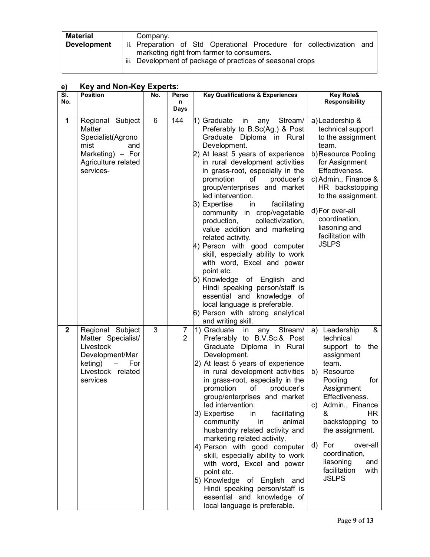| <b>Material</b>    | Company.                                                              |  |  |  |
|--------------------|-----------------------------------------------------------------------|--|--|--|
| <b>Development</b> | ii. Preparation of Std Operational Procedure for collectivization and |  |  |  |
|                    | marketing right from farmer to consumers.                             |  |  |  |
|                    | iii. Development of package of practices of seasonal crops            |  |  |  |
|                    |                                                                       |  |  |  |

# e) Key and Non-Key Experts:

| SI.<br>No.     | <b>Position</b>                                                                                                                                       | No. | Perso<br>n          | <b>Key Qualifications &amp; Experiences</b>                                                                                                                                                                                                                                                                                                                                                                                                                                                                                                                                                                                                                                                                                                                                              | <b>Key Role&amp;</b><br><b>Responsibility</b>                                                                                                                                                                                                                                                                                 |
|----------------|-------------------------------------------------------------------------------------------------------------------------------------------------------|-----|---------------------|------------------------------------------------------------------------------------------------------------------------------------------------------------------------------------------------------------------------------------------------------------------------------------------------------------------------------------------------------------------------------------------------------------------------------------------------------------------------------------------------------------------------------------------------------------------------------------------------------------------------------------------------------------------------------------------------------------------------------------------------------------------------------------------|-------------------------------------------------------------------------------------------------------------------------------------------------------------------------------------------------------------------------------------------------------------------------------------------------------------------------------|
|                |                                                                                                                                                       |     | Days                |                                                                                                                                                                                                                                                                                                                                                                                                                                                                                                                                                                                                                                                                                                                                                                                          |                                                                                                                                                                                                                                                                                                                               |
| 1              | Regional Subject<br><b>Matter</b><br>Specialist(Agrono<br>mist<br>and<br>Marketing) - For<br>Agriculture related<br>services-                         | 6   | 144                 | 1) Graduate<br>in any Stream/<br>Preferably to B.Sc(Ag.) & Post<br>Graduate Diploma in Rural<br>Development.<br>2) At least 5 years of experience<br>in rural development activities<br>in grass-root, especially in the<br>promotion<br>of<br>producer's<br>group/enterprises and market<br>led intervention.<br>3) Expertise<br>facilitating<br>in.<br>community in crop/vegetable<br>collectivization,<br>production,<br>value addition and marketing<br>related activity.<br>4) Person with good computer<br>skill, especially ability to work<br>with word, Excel and power<br>point etc.<br>5) Knowledge of English and<br>Hindi speaking person/staff is<br>essential and knowledge of<br>local language is preferable.<br>6) Person with strong analytical<br>and writing skill. | a) Leadership &<br>technical support<br>to the assignment<br>team.<br>b)Resource Pooling<br>for Assignment<br>Effectiveness.<br>c) Admin., Finance &<br>HR backstopping<br>to the assignment.<br>d) For over-all<br>coordination,<br>liasoning and<br>facilitation with<br><b>JSLPS</b>                                       |
| $\overline{2}$ | Regional Subject<br>Matter Specialist/<br>Livestock<br>Development/Mar<br>keting)<br>For<br>$\overline{\phantom{m}}$<br>Livestock related<br>services | 3   | 7<br>$\overline{2}$ | 1) Graduate<br>in<br>any Stream/<br>Preferably to B.V.Sc.& Post<br>Graduate Diploma in Rural<br>Development.<br>2) At least 5 years of experience<br>in rural development activities<br>in grass-root, especially in the<br>promotion<br>of<br>producer's<br>group/enterprises and market<br>led intervention.<br>3) Expertise<br>in<br>facilitating<br>community<br>in<br>animal<br>husbandry related activity and<br>marketing related activity.<br>4) Person with good computer<br>skill, especially ability to work<br>with word, Excel and power<br>point etc.<br>5) Knowledge of English<br>and<br>Hindi speaking person/staff is<br>essential and knowledge of<br>local language is preferable.                                                                                   | &<br>Leadership<br>a)<br>technical<br>the<br>support to<br>assignment<br>team.<br>b) Resource<br>Pooling<br>for<br>Assignment<br>Effectiveness.<br>c) Admin., Finance<br>HR.<br>&<br>backstopping to<br>the assignment.<br>For<br>over-all<br>d)<br>coordination,<br>liasoning<br>and<br>facilitation<br>with<br><b>JSLPS</b> |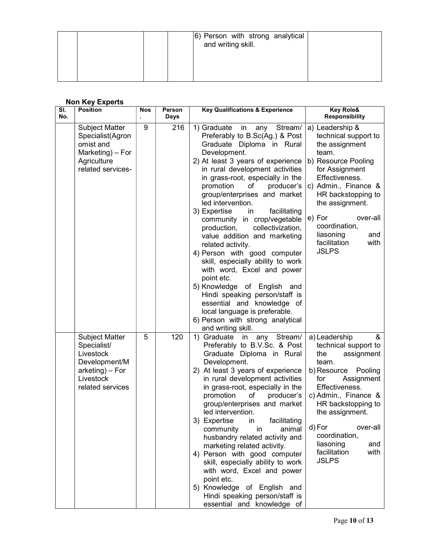|  | 6) Person with strong analytical<br>and writing skill. |  |
|--|--------------------------------------------------------|--|
|  |                                                        |  |

# Non Key Experts

| <b>Key Role&amp;</b><br><b>Key Qualifications &amp; Experience</b><br><b>Responsibility</b> |
|---------------------------------------------------------------------------------------------|
| any Stream/<br>a) Leadership &                                                              |
| Preferably to B.Sc(Ag.) & Post<br>technical support to                                      |
| Graduate Diploma in Rural<br>the assignment                                                 |
| team.                                                                                       |
| 2) At least 3 years of experience<br>b) Resource Pooling                                    |
| in rural development activities<br>for Assignment                                           |
| Effectiveness.<br>in grass-root, especially in the                                          |
| producer's<br>c) Admin., Finance &                                                          |
| group/enterprises and market<br>HR backstopping to                                          |
| the assignment.                                                                             |
| facilitating                                                                                |
| e) For<br>over-all<br>community in crop/vegetable<br>coordination,                          |
| collectivization,<br>liasoning<br>and                                                       |
| value addition and marketing<br>facilitation<br>with                                        |
| <b>JSLPS</b><br>4) Person with good computer                                                |
| skill, especially ability to work                                                           |
| with word, Excel and power                                                                  |
|                                                                                             |
| 5) Knowledge of English and                                                                 |
| Hindi speaking person/staff is                                                              |
| essential and knowledge of                                                                  |
| local language is preferable.                                                               |
| 6) Person with strong analytical                                                            |
|                                                                                             |
| &<br>any Stream/<br>a) Leadership                                                           |
| Preferably to B.V.Sc. & Post<br>technical support to                                        |
| Graduate Diploma in Rural<br>the<br>assignment                                              |
| team.<br>b) Resource Pooling                                                                |
| 2) At least 3 years of experience<br>in rural development activities<br>for<br>Assignment   |
| Effectiveness.<br>in grass-root, especially in the                                          |
| c) Admin., Finance &<br>producer's                                                          |
| group/enterprises and market<br>HR backstopping to                                          |
| the assignment.                                                                             |
| facilitating                                                                                |
| d) For<br>over-all<br>animal                                                                |
| coordination,<br>husbandry related activity and                                             |
| liasoning<br>and<br>marketing related activity.                                             |
| facilitation<br>with<br>4) Person with good computer<br><b>JSLPS</b>                        |
| skill, especially ability to work                                                           |
| with word, Excel and power                                                                  |
|                                                                                             |
| 5) Knowledge of English and<br>Hindi speaking person/staff is                               |
| essential and knowledge of                                                                  |
|                                                                                             |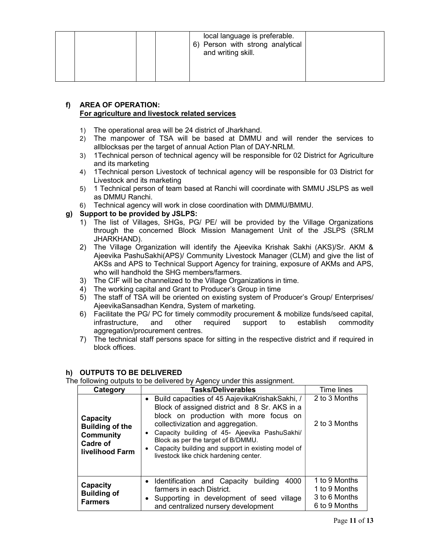|  | local language is preferable.<br>6) Person with strong analytical<br>and writing skill. |  |
|--|-----------------------------------------------------------------------------------------|--|
|  |                                                                                         |  |

#### f) AREA OF OPERATION: For agriculture and livestock related services

- 1) The operational area will be 24 district of Jharkhand.
- 2) The manpower of TSA will be based at DMMU and will render the services to allblocksas per the target of annual Action Plan of DAY-NRLM.
- 3) 1Technical person of technical agency will be responsible for 02 District for Agriculture and its marketing
- 4) 1Technical person Livestock of technical agency will be responsible for 03 District for Livestock and its marketing
- 5) 1 Technical person of team based at Ranchi will coordinate with SMMU JSLPS as well as DMMU Ranchi.
- 6) Technical agency will work in close coordination with DMMU/BMMU.

### g) Support to be provided by JSLPS:

- 1) The list of Villages, SHGs, PG/ PE/ will be provided by the Village Organizations through the concerned Block Mission Management Unit of the JSLPS (SRLM JHARKHAND).
- 2) The Village Organization will identify the Ajeevika Krishak Sakhi (AKS)/Sr. AKM & Ajeevika PashuSakhi(APS)/ Community Livestock Manager (CLM) and give the list of AKSs and APS to Technical Support Agency for training, exposure of AKMs and APS, who will handhold the SHG members/farmers.
- 3) The CIF will be channelized to the Village Organizations in time.
- 4) The working capital and Grant to Producer's Group in time
- 5) The staff of TSA will be oriented on existing system of Producer's Group/ Enterprises/ AjeevikaSansadhan Kendra, System of marketing.
- 6) Facilitate the PG/ PC for timely commodity procurement & mobilize funds/seed capital, infrastructure, and other required support to establish commodity aggregation/procurement centres.
- 7) The technical staff persons space for sitting in the respective district and if required in block offices.

#### h) OUTPUTS TO BE DELIVERED

The following outputs to be delivered by Agency under this assignment.

| Category                                                                              | <b>Tasks/Deliverables</b>                                                                                                                                                                                                                                                                                                                                                                            |                                                                  |  |  |
|---------------------------------------------------------------------------------------|------------------------------------------------------------------------------------------------------------------------------------------------------------------------------------------------------------------------------------------------------------------------------------------------------------------------------------------------------------------------------------------------------|------------------------------------------------------------------|--|--|
| Capacity<br><b>Building of the</b><br><b>Community</b><br>Cadre of<br>livelihood Farm | Build capacities of 45 AajevikaKrishakSakhi, /<br>$\bullet$<br>Block of assigned district and 8 Sr. AKS in a<br>block on production with more focus on<br>collectivization and aggregation.<br>Capacity building of 45- Ajeevika PashuSakhi/<br>$\bullet$<br>Block as per the target of B/DMMU.<br>Capacity building and support in existing model of<br>٠<br>livestock like chick hardening center. | 2 to 3 Months<br>2 to 3 Months                                   |  |  |
| Capacity<br><b>Building of</b><br><b>Farmers</b>                                      | building<br>4000<br>Identification and Capacity<br>farmers in each District.<br>Supporting in development of seed village<br>$\bullet$<br>and centralized nursery development                                                                                                                                                                                                                        | 1 to 9 Months<br>1 to 9 Months<br>3 to 6 Months<br>6 to 9 Months |  |  |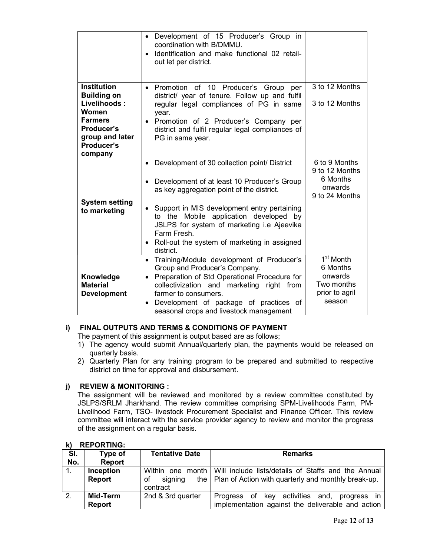|                                                                                                                                               | • Development of 15 Producer's Group in<br>coordination with B/DMMU.<br>Identification and make functional 02 retail-<br>out let per district.                                                                                                                                                                                                                             |                                                                                        |
|-----------------------------------------------------------------------------------------------------------------------------------------------|----------------------------------------------------------------------------------------------------------------------------------------------------------------------------------------------------------------------------------------------------------------------------------------------------------------------------------------------------------------------------|----------------------------------------------------------------------------------------|
| <b>Institution</b><br><b>Building on</b><br>Livelihoods:<br>Women<br><b>Farmers</b><br>Producer's<br>group and later<br>Producer's<br>company | Promotion of 10 Producer's Group per<br>$\bullet$<br>district/ year of tenure. Follow up and fulfil<br>regular legal compliances of PG in same<br>year.<br>• Promotion of 2 Producer's Company per<br>district and fulfil regular legal compliances of<br>PG in same year.                                                                                                 | 3 to 12 Months<br>3 to 12 Months                                                       |
| <b>System setting</b><br>to marketing                                                                                                         | • Development of 30 collection point/ District<br>Development of at least 10 Producer's Group<br>as key aggregation point of the district.<br>Support in MIS development entry pertaining<br>$\bullet$<br>to the Mobile application developed by<br>JSLPS for system of marketing i.e Ajeevika<br>Farm Fresh.<br>Roll-out the system of marketing in assigned<br>district. | 6 to 9 Months<br>9 to 12 Months<br>6 Months<br>onwards<br>9 to 24 Months               |
| Knowledge<br><b>Material</b><br><b>Development</b>                                                                                            | Training/Module development of Producer's<br>$\bullet$<br>Group and Producer's Company.<br>Preparation of Std Operational Procedure for<br>$\bullet$<br>collectivization and marketing right from<br>farmer to consumers.<br>Development of package of practices of<br>seasonal crops and livestock management                                                             | 1 <sup>st</sup> Month<br>6 Months<br>onwards<br>Two months<br>prior to agril<br>season |

### i) FINAL OUTPUTS AND TERMS & CONDITIONS OF PAYMENT

The payment of this assignment is output based are as follows;

- 1) The agency would submit Annual/quarterly plan, the payments would be released on quarterly basis.
- 2) Quarterly Plan for any training program to be prepared and submitted to respective district on time for approval and disbursement.

## j) REVIEW & MONITORING :

The assignment will be reviewed and monitored by a review committee constituted by JSLPS/SRLM Jharkhand. The review committee comprising SPM-Livelihoods Farm, PM-Livelihood Farm, TSO- livestock Procurement Specialist and Finance Officer. This review committee will interact with the service provider agency to review and monitor the progress of the assignment on a regular basis.

|     | .             |                       |                                                                        |
|-----|---------------|-----------------------|------------------------------------------------------------------------|
| SI. | Type of       | <b>Tentative Date</b> | <b>Remarks</b>                                                         |
| No. | <b>Report</b> |                       |                                                                        |
|     | Inception     |                       | Within one month   Will include lists/details of Staffs and the Annual |
|     | Report        | signing<br>оf         | the $\vert$ Plan of Action with quarterly and monthly break-up.        |
|     |               | contract              |                                                                        |
| 2.  | Mid-Term      | 2nd & 3rd quarter     | Progress of key activities and,<br>progress in                         |
|     | <b>Report</b> |                       | implementation against the deliverable and action                      |

#### k) REPORTING: